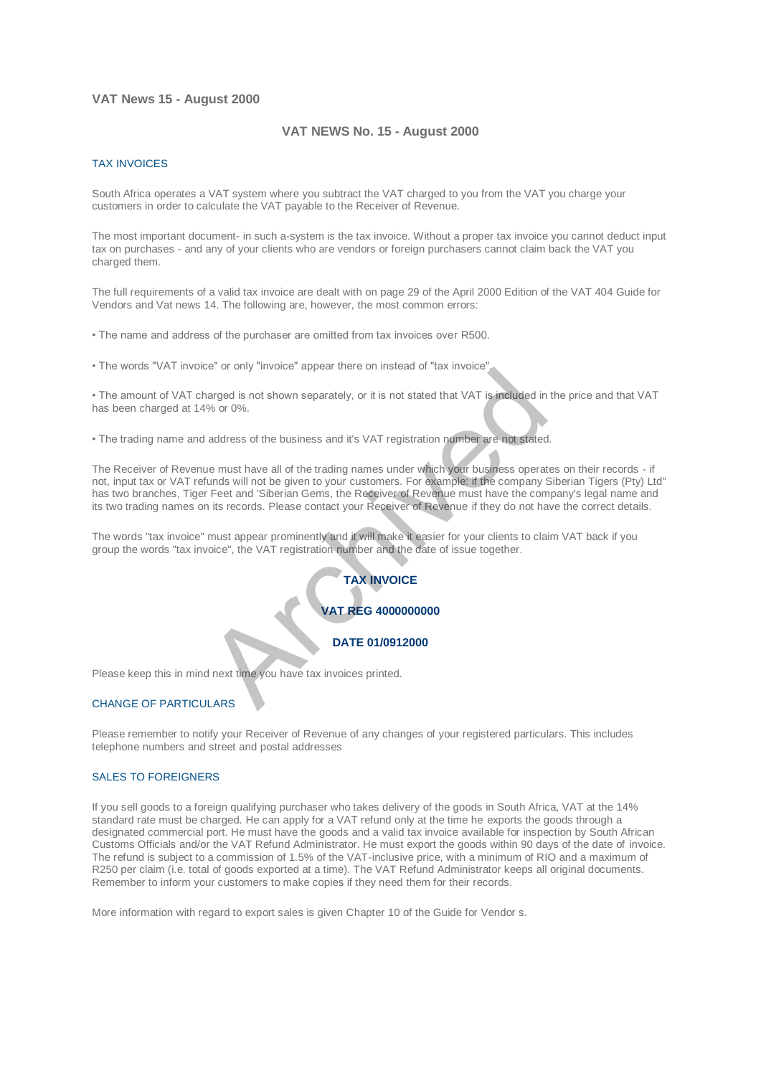# **VAT News 15 - August 2000**

## **VAT NEWS No. 15 - August 2000**

## TAX INVOICES

South Africa operates a VAT system where you subtract the VAT charged to you from the VAT you charge your customers in order to calculate the VAT payable to the Receiver of Revenue.

The most important document- in such a-system is the tax invoice. Without a proper tax invoice you cannot deduct input tax on purchases - and any of your clients who are vendors or foreign purchasers cannot claim back the VAT you charged them.

The full requirements of a valid tax invoice are dealt with on page 29 of the April 2000 Edition of the VAT 404 Guide for Vendors and Vat news 14. The following are, however, the most common errors:

• The name and address of the purchaser are omitted from tax invoices over R500.

• The words "VAT invoice" or only "invoice" appear there on instead of "tax invoice".

• The amount of VAT charged is not shown separately, or it is not stated that VAT is included in the price and that VAT has been charged at 14% or 0%.

• The trading name and address of the business and it's VAT registration number are not stated.

The Receiver of Revenue must have all of the trading names under which your business operates on their records - if not, input tax or VAT refunds will not be given to your customers. For example: if the company Siberian Tigers (Pty) Ltd" has two branches, Tiger Feet and 'Siberian Gems, the Receiver of Revenue must have the company's legal name and its two trading names on its records. Please contact your Receiver of Revenue if they do not have the correct details.

The words "tax invoice" must appear prominently and it will make it easier for your clients to claim VAT back if you group the words "tax invoice", the VAT registration number and the date of issue together.



Please keep this in mind next time you have tax invoices printed.

### CHANGE OF PARTICULARS

Please remember to notify your Receiver of Revenue of any changes of your registered particulars. This includes telephone numbers and street and postal addresses

### SALES TO FOREIGNERS

If you sell goods to a foreign qualifying purchaser who takes delivery of the goods in South Africa, VAT at the 14% standard rate must be charged. He can apply for a VAT refund only at the time he exports the goods through a designated commercial port. He must have the goods and a valid tax invoice available for inspection by South African Customs Officials and/or the VAT Refund Administrator. He must export the goods within 90 days of the date of invoice. The refund is subject to a commission of 1.5% of the VAT-inclusive price, with a minimum of RIO and a maximum of R250 per claim (i.e. total of goods exported at a time). The VAT Refund Administrator keeps all original documents. Remember to inform your customers to make copies if they need them for their records.

More information with regard to export sales is given Chapter 10 of the Guide for Vendor s.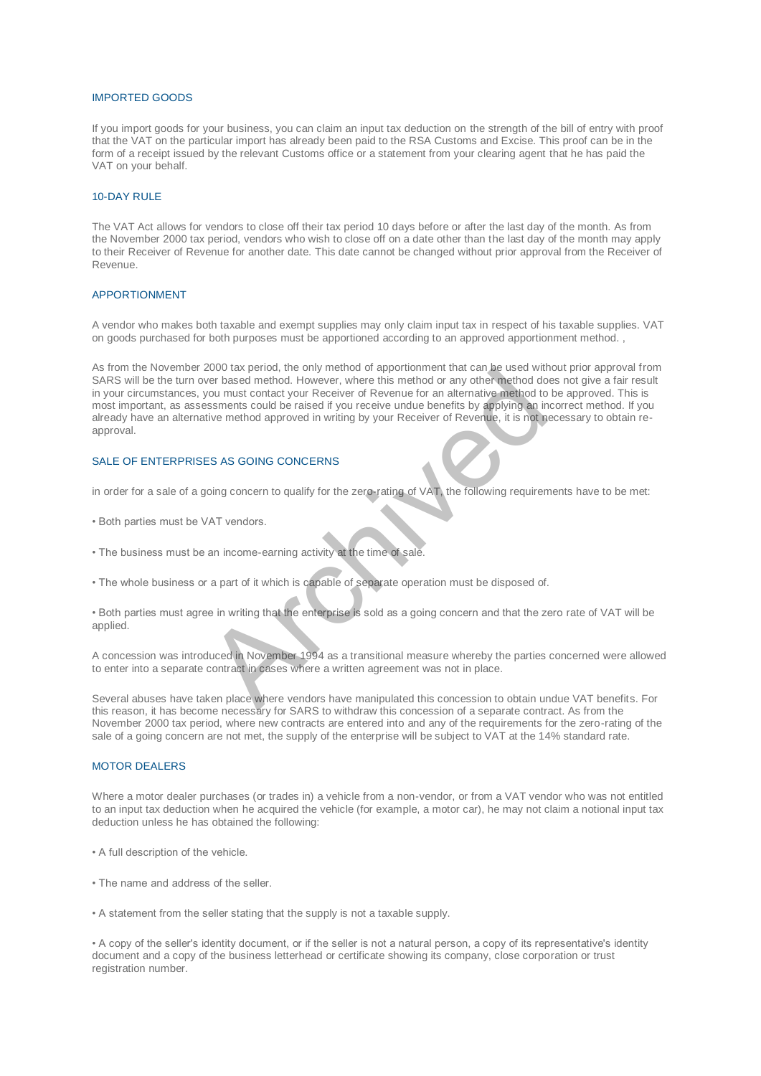### IMPORTED GOODS

If you import goods for your business, you can claim an input tax deduction on the strength of the bill of entry with proof that the VAT on the particular import has already been paid to the RSA Customs and Excise. This proof can be in the form of a receipt issued by the relevant Customs office or a statement from your clearing agent that he has paid the VAT on your behalf.

#### 10-DAY RULE

The VAT Act allows for vendors to close off their tax period 10 days before or after the last day of the month. As from the November 2000 tax period, vendors who wish to close off on a date other than the last day of the month may apply to their Receiver of Revenue for another date. This date cannot be changed without prior approval from the Receiver of Revenue.

#### APPORTIONMENT

A vendor who makes both taxable and exempt supplies may only claim input tax in respect of his taxable supplies. VAT on goods purchased for both purposes must be apportioned according to an approved apportionment method. ,

As from the November 2000 tax period, the only method of apportionment that can be used without prior approval from SARS will be the turn over based method. However, where this method or any other method does not give a fair result in your circumstances, you must contact your Receiver of Revenue for an alternative method to be approved. This is most important, as assessments could be raised if you receive undue benefits by applying an incorrect method. If you already have an alternative method approved in writing by your Receiver of Revenue, it is not necessary to obtain reapproval. 2000 tax period, the only method or apportonment that can be used with the court based method. However, where this method or any other method to you must contact your Receiver of Revenue for an alternative method to be rai

## SALE OF ENTERPRISES AS GOING CONCERNS

in order for a sale of a going concern to qualify for the zero-rating of VAT, the following requirements have to be met:

- Both parties must be VAT vendors.
- The business must be an income-earning activity at the time of sale.
- The whole business or a part of it which is capable of separate operation must be disposed of.

• Both parties must agree in writing that the enterprise is sold as a going concern and that the zero rate of VAT will be applied.

A concession was introduced in November 1994 as a transitional measure whereby the parties concerned were allowed to enter into a separate contract in cases where a written agreement was not in place.

Several abuses have taken place where vendors have manipulated this concession to obtain undue VAT benefits. For this reason, it has become necessary for SARS to withdraw this concession of a separate contract. As from the November 2000 tax period, where new contracts are entered into and any of the requirements for the zero-rating of the sale of a going concern are not met, the supply of the enterprise will be subject to VAT at the 14% standard rate.

### MOTOR DEALERS

Where a motor dealer purchases (or trades in) a vehicle from a non-vendor, or from a VAT vendor who was not entitled to an input tax deduction when he acquired the vehicle (for example, a motor car), he may not claim a notional input tax deduction unless he has obtained the following:

- A full description of the vehicle.
- The name and address of the seller.
- A statement from the seller stating that the supply is not a taxable supply.

• A copy of the seller's identity document, or if the seller is not a natural person, a copy of its representative's identity document and a copy of the business letterhead or certificate showing its company, close corporation or trust registration number.